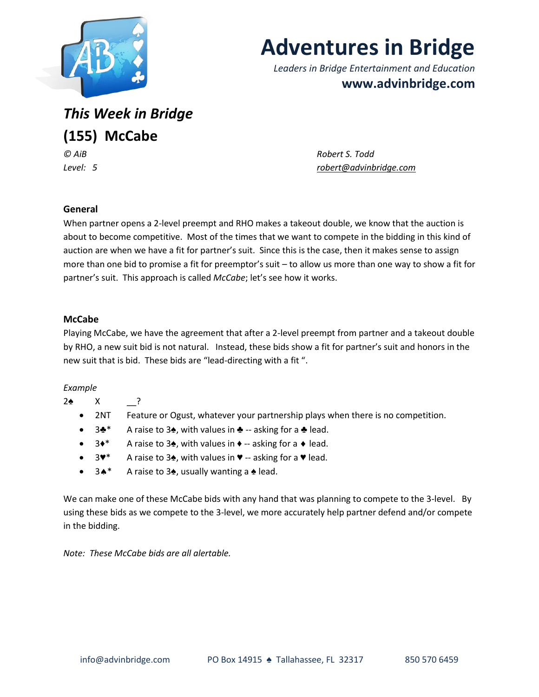

# **Adventures in Bridge**

*Leaders in Bridge Entertainment and Education* **www.advinbridge.com**

*This Week in Bridge* **(155) McCabe**

*© AiB Robert S. Todd Level: 5 [robert@advinbridge.com](mailto:robert@advinbridge.com)*

## **General**

When partner opens a 2-level preempt and RHO makes a takeout double, we know that the auction is about to become competitive. Most of the times that we want to compete in the bidding in this kind of auction are when we have a fit for partner's suit. Since this is the case, then it makes sense to assign more than one bid to promise a fit for preemptor's suit – to allow us more than one way to show a fit for partner's suit. This approach is called *McCabe*; let's see how it works.

### **McCabe**

Playing McCabe, we have the agreement that after a 2-level preempt from partner and a takeout double by RHO, a new suit bid is not natural. Instead, these bids show a fit for partner's suit and honors in the new suit that is bid. These bids are "lead-directing with a fit ".

### *Example*

- 2♠ X \_\_?
	- 2NT Feature or Ogust, whatever your partnership plays when there is no competition.
	- 3♣\* A raise to 3♠, with values in ♣ -- asking for a ♣ lead.
	- 3◆\* A raise to 3◆, with values in ◆ -- asking for a ◆ lead.
	- 3♥\* A raise to 3♠, with values in ♥ -- asking for a ♥ lead.
	- 3<sup>★</sup> A raise to 3<sup> $\bullet$ </sup>, usually wanting a  $\bullet$  lead.

We can make one of these McCabe bids with any hand that was planning to compete to the 3-level. By using these bids as we compete to the 3-level, we more accurately help partner defend and/or compete in the bidding.

*Note: These McCabe bids are all alertable.*